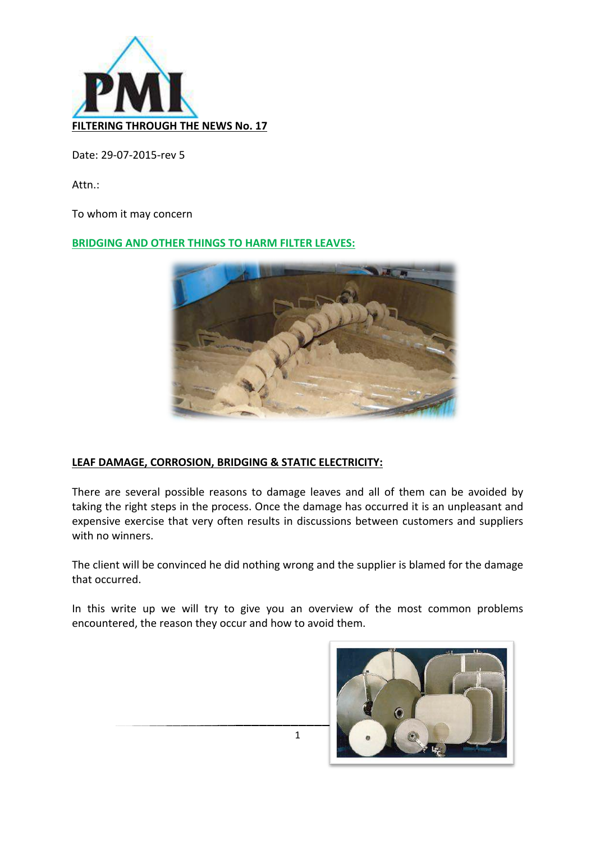

Date: 29-07-2015-rev 5

Attn.: 

To whom it may concern

#### **BRIDGING AND OTHER THINGS TO HARM FILTER LEAVES:**



## **LEAF DAMAGE, CORROSION, BRIDGING & STATIC ELECTRICITY:**

There are several possible reasons to damage leaves and all of them can be avoided by taking the right steps in the process. Once the damage has occurred it is an unpleasant and expensive exercise that very often results in discussions between customers and suppliers with no winners.

The client will be convinced he did nothing wrong and the supplier is blamed for the damage that occurred.

In this write up we will try to give you an overview of the most common problems encountered, the reason they occur and how to avoid them.

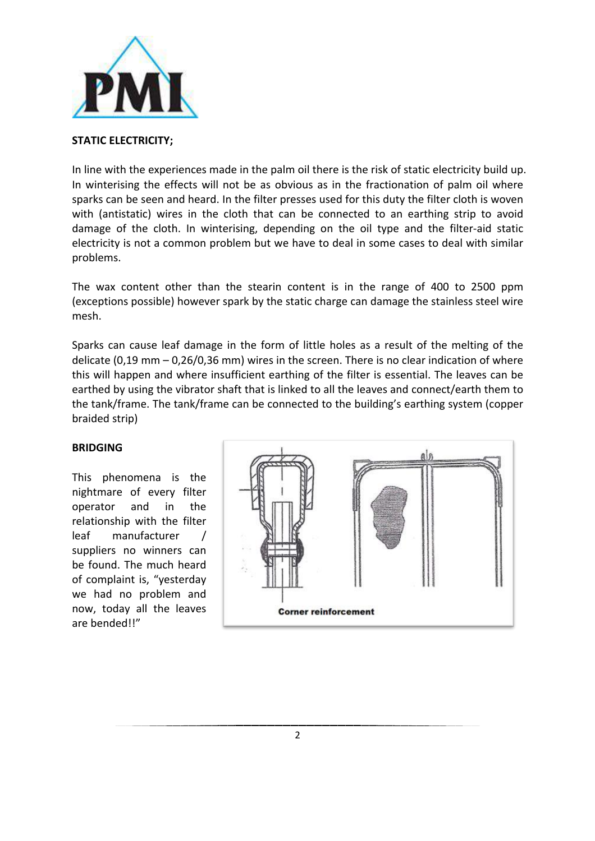

#### **STATIC ELECTRICITY;**

In line with the experiences made in the palm oil there is the risk of static electricity build up. In winterising the effects will not be as obvious as in the fractionation of palm oil where sparks can be seen and heard. In the filter presses used for this duty the filter cloth is woven with (antistatic) wires in the cloth that can be connected to an earthing strip to avoid damage of the cloth. In winterising, depending on the oil type and the filter-aid static electricity is not a common problem but we have to deal in some cases to deal with similar problems. 

The wax content other than the stearin content is in the range of 400 to 2500 ppm (exceptions possible) however spark by the static charge can damage the stainless steel wire mesh.

Sparks can cause leaf damage in the form of little holes as a result of the melting of the delicate  $(0.19 \text{ mm} - 0.26/0.36 \text{ mm})$  wires in the screen. There is no clear indication of where this will happen and where insufficient earthing of the filter is essential. The leaves can be earthed by using the vibrator shaft that is linked to all the leaves and connect/earth them to the tank/frame. The tank/frame can be connected to the building's earthing system (copper braided strip)

#### **BRIDGING**

This phenomena is the nightmare of every filter operator and in the relationship with the filter leaf manufacturer / suppliers no winners can be found. The much heard of complaint is, "yesterday we had no problem and now, today all the leaves are bended!!"

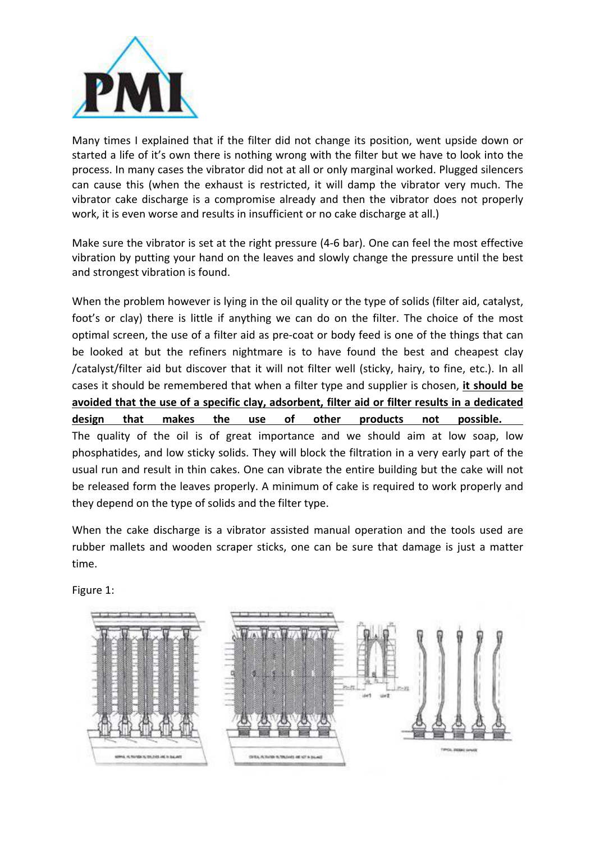

Many times I explained that if the filter did not change its position, went upside down or started a life of it's own there is nothing wrong with the filter but we have to look into the process. In many cases the vibrator did not at all or only marginal worked. Plugged silencers can cause this (when the exhaust is restricted, it will damp the vibrator very much. The vibrator cake discharge is a compromise already and then the vibrator does not properly work, it is even worse and results in insufficient or no cake discharge at all.)

Make sure the vibrator is set at the right pressure (4-6 bar). One can feel the most effective vibration by putting your hand on the leaves and slowly change the pressure until the best and strongest vibration is found.

When the problem however is lying in the oil quality or the type of solids (filter aid, catalyst, foot's or clay) there is little if anything we can do on the filter. The choice of the most optimal screen, the use of a filter aid as pre-coat or body feed is one of the things that can be looked at but the refiners nightmare is to have found the best and cheapest clay /catalyst/filter aid but discover that it will not filter well (sticky, hairy, to fine, etc.). In all cases it should be remembered that when a filter type and supplier is chosen, it should be avoided that the use of a specific clay, adsorbent, filter aid or filter results in a dedicated design that makes the use of other products not possible. The quality of the oil is of great importance and we should aim at low soap, low phosphatides, and low sticky solids. They will block the filtration in a very early part of the usual run and result in thin cakes. One can vibrate the entire building but the cake will not be released form the leaves properly. A minimum of cake is required to work properly and they depend on the type of solids and the filter type.

When the cake discharge is a vibrator assisted manual operation and the tools used are rubber mallets and wooden scraper sticks, one can be sure that damage is just a matter time.

Figure 1:

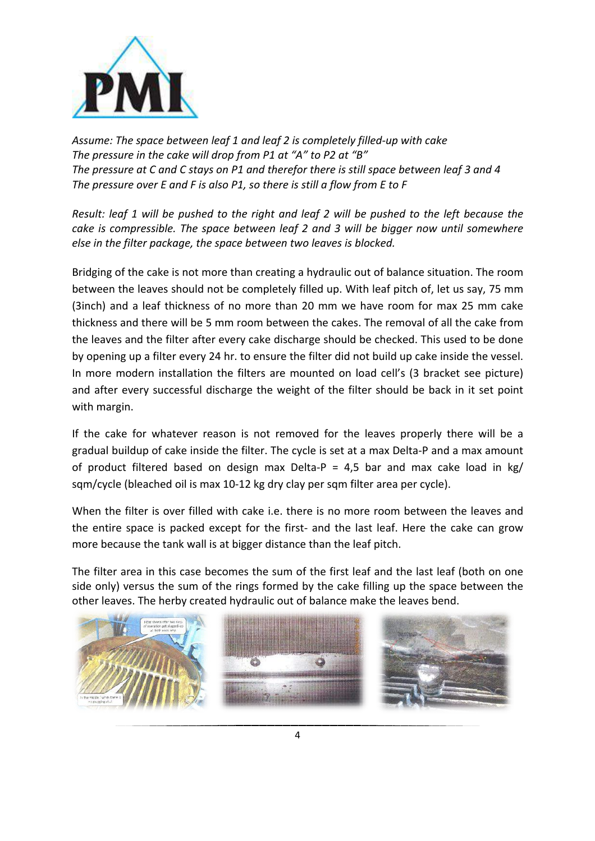

Assume: The space between leaf 1 and leaf 2 is completely filled-up with cake The pressure in the cake will drop from P1 at "A" to P2 at "B" The pressure at C and C stays on P1 and therefor there is still space between leaf 3 and 4 The pressure over E and F is also P1, so there is still a flow from E to F

*Result:* leaf 1 will be pushed to the right and leaf 2 will be pushed to the left because the *cake is compressible. The space between leaf 2 and 3 will be bigger now until somewhere else in the filter package, the space between two leaves is blocked.* 

Bridging of the cake is not more than creating a hydraulic out of balance situation. The room between the leaves should not be completely filled up. With leaf pitch of, let us say, 75 mm (3inch) and a leaf thickness of no more than 20 mm we have room for max 25 mm cake thickness and there will be 5 mm room between the cakes. The removal of all the cake from the leaves and the filter after every cake discharge should be checked. This used to be done by opening up a filter every 24 hr. to ensure the filter did not build up cake inside the vessel. In more modern installation the filters are mounted on load cell's (3 bracket see picture) and after every successful discharge the weight of the filter should be back in it set point with margin.

If the cake for whatever reason is not removed for the leaves properly there will be a gradual buildup of cake inside the filter. The cycle is set at a max Delta-P and a max amount of product filtered based on design max Delta-P = 4.5 bar and max cake load in kg/ sqm/cycle (bleached oil is max 10-12 kg dry clay per sqm filter area per cycle).

When the filter is over filled with cake i.e. there is no more room between the leaves and the entire space is packed except for the first- and the last leaf. Here the cake can grow more because the tank wall is at bigger distance than the leaf pitch.

The filter area in this case becomes the sum of the first leaf and the last leaf (both on one side only) versus the sum of the rings formed by the cake filling up the space between the other leaves. The herby created hydraulic out of balance make the leaves bend.



4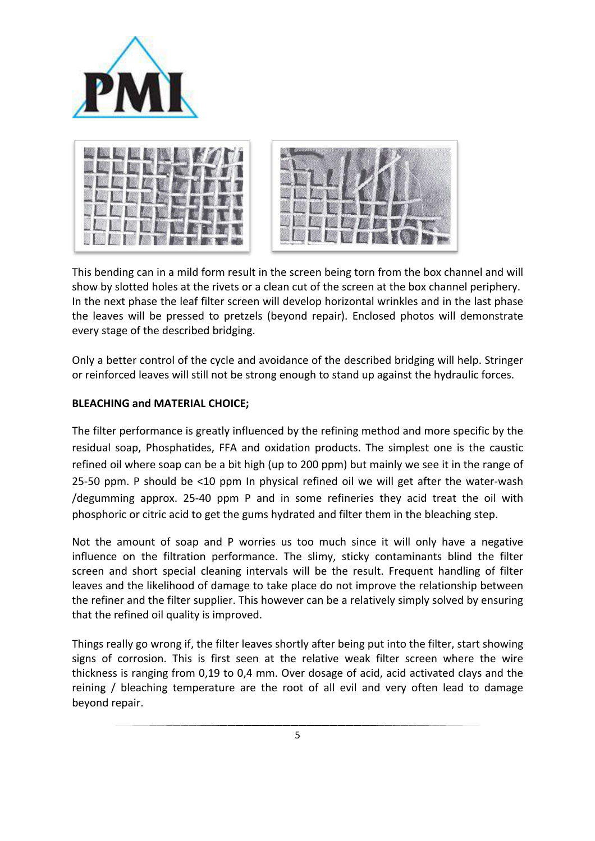



This bending can in a mild form result in the screen being torn from the box channel and will show by slotted holes at the rivets or a clean cut of the screen at the box channel periphery. In the next phase the leaf filter screen will develop horizontal wrinkles and in the last phase the leaves will be pressed to pretzels (beyond repair). Enclosed photos will demonstrate every stage of the described bridging.

Only a better control of the cycle and avoidance of the described bridging will help. Stringer or reinforced leaves will still not be strong enough to stand up against the hydraulic forces.

## **BLEACHING and MATERIAL CHOICE;**

The filter performance is greatly influenced by the refining method and more specific by the residual soap, Phosphatides, FFA and oxidation products. The simplest one is the caustic refined oil where soap can be a bit high (up to 200 ppm) but mainly we see it in the range of 25-50 ppm. P should be  $\leq$ 10 ppm In physical refined oil we will get after the water-wash /degumming approx. 25-40 ppm  $P$  and in some refineries they acid treat the oil with phosphoric or citric acid to get the gums hydrated and filter them in the bleaching step.

Not the amount of soap and P worries us too much since it will only have a negative influence on the filtration performance. The slimy, sticky contaminants blind the filter screen and short special cleaning intervals will be the result. Frequent handling of filter leaves and the likelihood of damage to take place do not improve the relationship between the refiner and the filter supplier. This however can be a relatively simply solved by ensuring that the refined oil quality is improved.

Things really go wrong if, the filter leaves shortly after being put into the filter, start showing signs of corrosion. This is first seen at the relative weak filter screen where the wire thickness is ranging from 0,19 to 0,4 mm. Over dosage of acid, acid activated clays and the reining / bleaching temperature are the root of all evil and very often lead to damage beyond repair.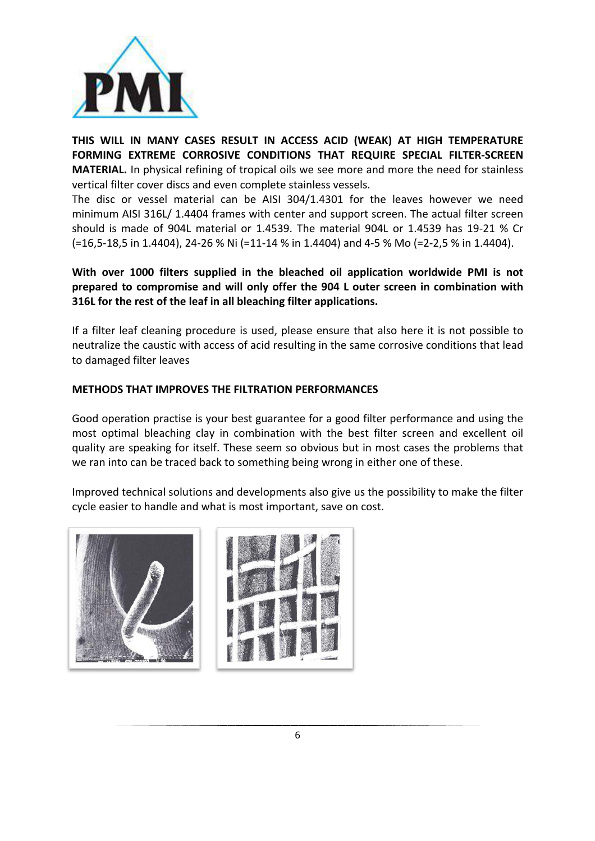

THIS WILL IN MANY CASES RESULT IN ACCESS ACID (WEAK) AT HIGH TEMPERATURE **FORMING EXTREME CORROSIVE CONDITIONS THAT REQUIRE SPECIAL FILTER-SCREEN MATERIAL.** In physical refining of tropical oils we see more and more the need for stainless vertical filter cover discs and even complete stainless vessels.

The disc or vessel material can be AISI  $304/1.4301$  for the leaves however we need minimum AISI 316L/ 1.4404 frames with center and support screen. The actual filter screen should is made of 904L material or 1.4539. The material 904L or 1.4539 has 19-21 % Cr (=16,5-18,5 in 1.4404), 24-26 % Ni (=11-14 % in 1.4404) and 4-5 % Mo (=2-2,5 % in 1.4404).

# With over 1000 filters supplied in the bleached oil application worldwide PMI is not prepared to compromise and will only offer the 904 L outer screen in combination with **316L** for the rest of the leaf in all bleaching filter applications.

If a filter leaf cleaning procedure is used, please ensure that also here it is not possible to neutralize the caustic with access of acid resulting in the same corrosive conditions that lead to damaged filter leaves

## **METHODS THAT IMPROVES THE FILTRATION PERFORMANCES**

Good operation practise is your best guarantee for a good filter performance and using the most optimal bleaching clay in combination with the best filter screen and excellent oil quality are speaking for itself. These seem so obvious but in most cases the problems that we ran into can be traced back to something being wrong in either one of these.

Improved technical solutions and developments also give us the possibility to make the filter cycle easier to handle and what is most important, save on cost.



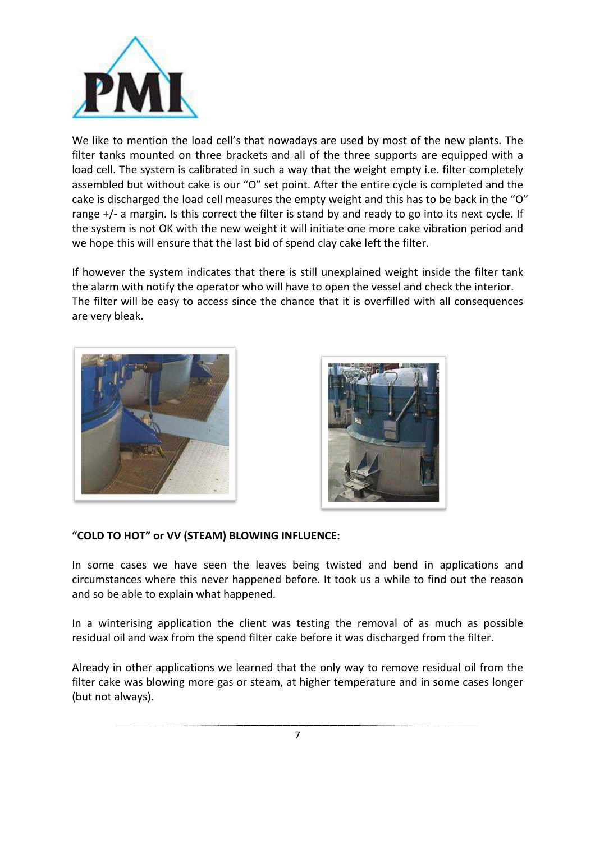

We like to mention the load cell's that nowadays are used by most of the new plants. The filter tanks mounted on three brackets and all of the three supports are equipped with a load cell. The system is calibrated in such a way that the weight empty i.e. filter completely assembled but without cake is our "O" set point. After the entire cycle is completed and the cake is discharged the load cell measures the empty weight and this has to be back in the "O" range  $+/-$  a margin. Is this correct the filter is stand by and ready to go into its next cycle. If the system is not OK with the new weight it will initiate one more cake vibration period and we hope this will ensure that the last bid of spend clay cake left the filter.

If however the system indicates that there is still unexplained weight inside the filter tank the alarm with notify the operator who will have to open the vessel and check the interior. The filter will be easy to access since the chance that it is overfilled with all consequences are very bleak.





## **"COLD TO HOT" or VV (STEAM) BLOWING INFLUENCE:**

In some cases we have seen the leaves being twisted and bend in applications and circumstances where this never happened before. It took us a while to find out the reason and so be able to explain what happened.

In a winterising application the client was testing the removal of as much as possible residual oil and wax from the spend filter cake before it was discharged from the filter.

Already in other applications we learned that the only way to remove residual oil from the filter cake was blowing more gas or steam, at higher temperature and in some cases longer (but not always).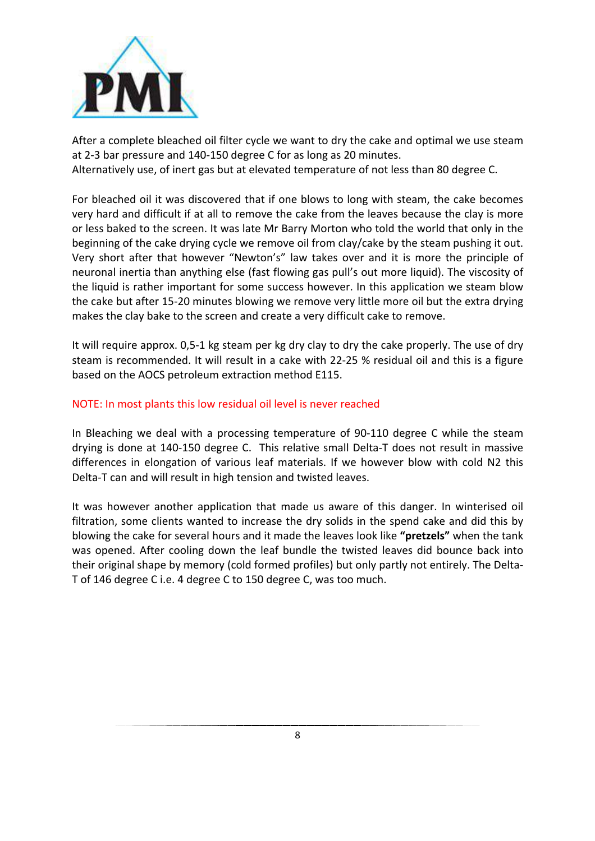

After a complete bleached oil filter cycle we want to dry the cake and optimal we use steam at 2-3 bar pressure and 140-150 degree C for as long as 20 minutes.

Alternatively use, of inert gas but at elevated temperature of not less than 80 degree C.

For bleached oil it was discovered that if one blows to long with steam, the cake becomes very hard and difficult if at all to remove the cake from the leaves because the clay is more or less baked to the screen. It was late Mr Barry Morton who told the world that only in the beginning of the cake drying cycle we remove oil from clay/cake by the steam pushing it out. Very short after that however "Newton's" law takes over and it is more the principle of neuronal inertia than anything else (fast flowing gas pull's out more liquid). The viscosity of the liquid is rather important for some success however. In this application we steam blow the cake but after 15-20 minutes blowing we remove very little more oil but the extra drying makes the clay bake to the screen and create a very difficult cake to remove.

It will require approx. 0,5-1 kg steam per kg dry clay to dry the cake properly. The use of dry steam is recommended. It will result in a cake with 22-25 % residual oil and this is a figure based on the AOCS petroleum extraction method E115.

## NOTE: In most plants this low residual oil level is never reached

In Bleaching we deal with a processing temperature of 90-110 degree C while the steam drying is done at 140-150 degree C. This relative small Delta-T does not result in massive differences in elongation of various leaf materials. If we however blow with cold N2 this Delta-T can and will result in high tension and twisted leaves.

It was however another application that made us aware of this danger. In winterised oil filtration, some clients wanted to increase the dry solids in the spend cake and did this by blowing the cake for several hours and it made the leaves look like "pretzels" when the tank was opened. After cooling down the leaf bundle the twisted leaves did bounce back into their original shape by memory (cold formed profiles) but only partly not entirely. The Delta-T of 146 degree C i.e. 4 degree C to 150 degree C, was too much.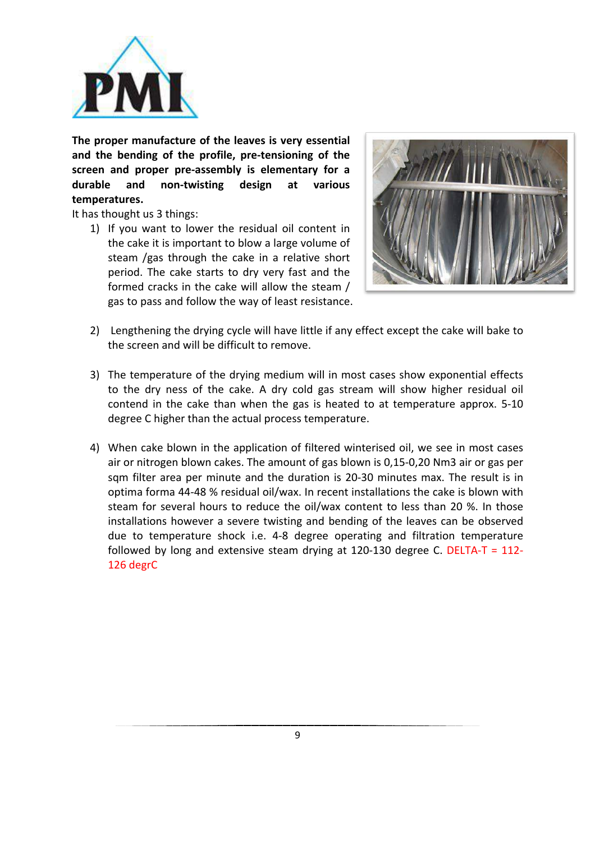

The proper manufacture of the leaves is very essential and the bending of the profile, pre-tensioning of the **screen** and proper pre-assembly is elementary for a **durable and non-twisting design at various temperatures.**

It has thought us 3 things:

1) If you want to lower the residual oil content in the cake it is important to blow a large volume of steam /gas through the cake in a relative short period. The cake starts to dry very fast and the formed cracks in the cake will allow the steam / gas to pass and follow the way of least resistance.



- 2) Lengthening the drying cycle will have little if any effect except the cake will bake to the screen and will be difficult to remove.
- 3) The temperature of the drying medium will in most cases show exponential effects to the dry ness of the cake. A dry cold gas stream will show higher residual oil contend in the cake than when the gas is heated to at temperature approx. 5-10 degree C higher than the actual process temperature.
- 4) When cake blown in the application of filtered winterised oil, we see in most cases air or nitrogen blown cakes. The amount of gas blown is 0,15-0,20 Nm3 air or gas per sqm filter area per minute and the duration is 20-30 minutes max. The result is in optima forma 44-48 % residual oil/wax. In recent installations the cake is blown with steam for several hours to reduce the oil/wax content to less than 20 %. In those installations however a severe twisting and bending of the leaves can be observed due to temperature shock i.e. 4-8 degree operating and filtration temperature followed by long and extensive steam drying at 120-130 degree C. DELTA-T =  $112$ -126 degrC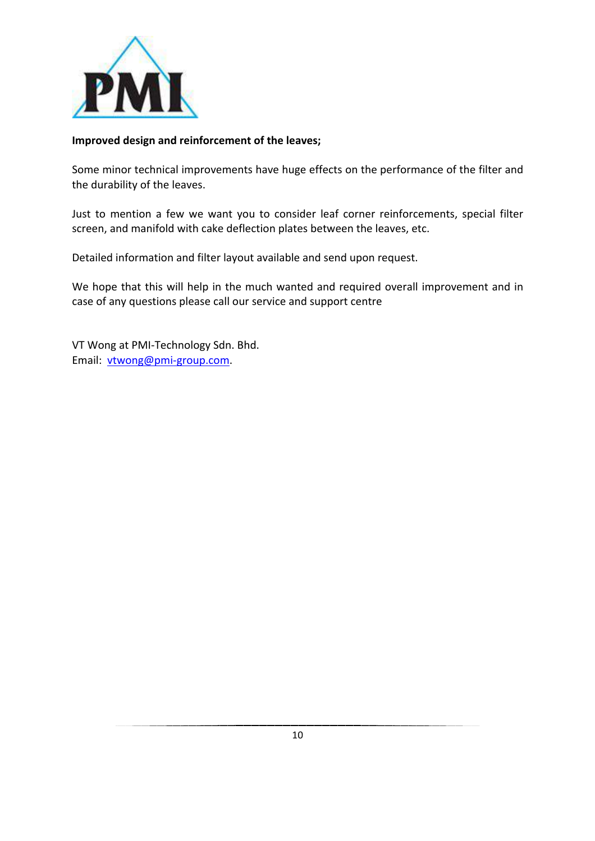

#### **Improved design and reinforcement of the leaves;**

Some minor technical improvements have huge effects on the performance of the filter and the durability of the leaves.

Just to mention a few we want you to consider leaf corner reinforcements, special filter screen, and manifold with cake deflection plates between the leaves, etc.

Detailed information and filter layout available and send upon request.

We hope that this will help in the much wanted and required overall improvement and in case of any questions please call our service and support centre

VT Wong at PMI-Technology Sdn. Bhd. Email: vtwong@pmi-group.com.